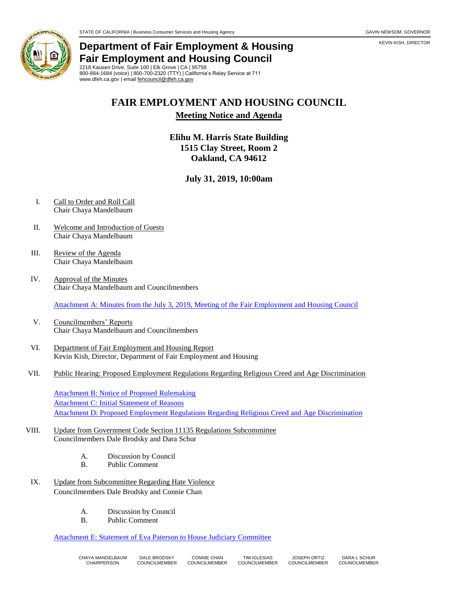

# **Department of Fair Employment & Housing Fair Employment and Housing Council**

2218 Kausen Drive, Suite 100 | Elk Grove | CA | 95758 800-884-1684 (voice) | 800-700-2320 (TTY) | California's Relay Service at 711 www.dfeh.ca.gov | email [fehcouncil@dfeh.ca.gov](mailto:fehcouncil@dfeh.ca.gov)

## **FAIR EMPLOYMENT AND HOUSING COUNCIL**

#### **Meeting Notice and Agenda**

### **Elihu M. Harris State Building 1515 Clay Street, Room 2 Oakland, CA 94612**

### **July 31, 2019, 10:00am**

- I. Call to Order and Roll Call Chair Chaya Mandelbaum
- II. Welcome and Introduction of Guests Chair Chaya Mandelbaum
- III. Review of the Agenda Chair Chaya Mandelbaum
- IV. Approval of the Minutes Chair Chaya Mandelbaum and Councilmembers

[Attachment A: Minutes from the July 3, 2019, Meeting of the Fair Employment and Housing Council](https://www.dfeh.ca.gov/wp-content/uploads/sites/32/2019/07/AttachA-FEHCMinutes2019July3.pdf)

- V. Councilmembers' Reports Chair Chaya Mandelbaum and Councilmembers
- VI. Department of Fair Employment and Housing Report Kevin Kish, Director, Department of Fair Employment and Housing
- VII. Public Hearing: Proposed Employment Regulations Regarding Religious Creed and Age Discrimination

[Attachment B: Notice of Proposed Rulemaking](https://www.dfeh.ca.gov/wp-content/uploads/sites/32/2019/07/AttachB-NtcEmployRegReligiousCreedAgeDiscrimination.pdf) **[Attachment C: Initial Statement of Reasons](https://www.dfeh.ca.gov/wp-content/uploads/sites/32/2019/07/AttachC-InitStmtofReason4EmployRegReligiousCreedAgeDiscrimination.pdf)** [Attachment D: Proposed Employment Regulations Regarding Religious Creed and Age Discrimination](https://www.dfeh.ca.gov/wp-content/uploads/sites/32/2019/07/AttachD-TextEmployRegReligiousCreedAgeDiscrimination.pdf)

- VIII. Update from Government Code Section 11135 Regulations Subcommittee Councilmembers Dale Brodsky and Dara Schur
	- A. Discussion by Council
	- B. Public Comment
- IX. Update from Subcommittee Regarding Hate Violence Councilmembers Dale Brodsky and Connie Chan
	- A. Discussion by Council
	- B. Public Comment

[Attachment E: Statement of Eva Paterson to House Judiciary Committee](https://www.dfeh.ca.gov/wp-content/uploads/sites/32/2019/07/AttachE-StmtofEvaPatersontoHouseJudiciaryCommittee.pdf)